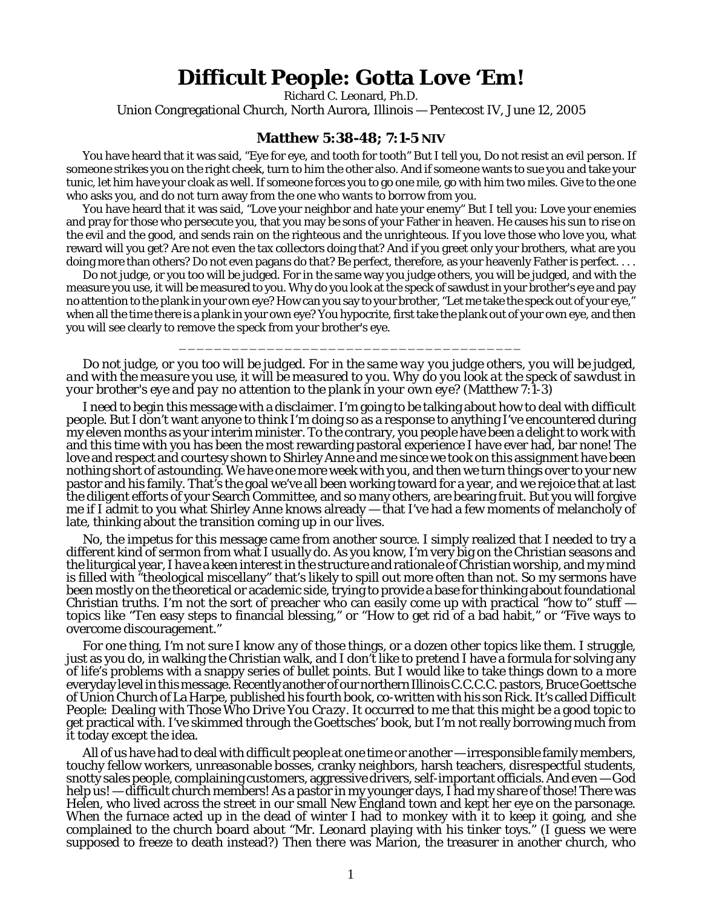## **Difficult People: Gotta Love 'Em!**

Richard C. Leonard, Ph.D.

Union Congregational Church, North Aurora, Illinois — Pentecost IV, June 12, 2005

## **Matthew 5:38-48; 7:1-5 NIV**

You have heard that it was said, "Eye for eye, and tooth for tooth" But I tell you, Do not resist an evil person. If someone strikes you on the right cheek, turn to him the other also. And if someone wants to sue you and take your tunic, let him have your cloak as well. If someone forces you to go one mile, go with him two miles. Give to the one who asks you, and do not turn away from the one who wants to borrow from you.

You have heard that it was said, "Love your neighbor and hate your enemy" But I tell you: Love your enemies and pray for those who persecute you, that you may be sons of your Father in heaven. He causes his sun to rise on the evil and the good, and sends rain on the righteous and the unrighteous. If you love those who love you, what reward will you get? Are not even the tax collectors doing that? And if you greet only your brothers, what are you doing more than others? Do not even pagans do that? Be perfect, therefore, as your heavenly Father is perfect....

Do not judge, or you too will be judged. For in the same way you judge others, you will be judged, and with the measure you use, it will be measured to you. Why do you look at the speck of sawdust in your brother's eye and pay no attention to the plank in your own eye? How can you say to your brother, "Let me take the speck out of your eye," when all the time there is a plank in your own eye? You hypocrite, first take the plank out of your own eye, and then you will see clearly to remove the speck from your brother's eye.

*Do not judge, or you too will be judged. For in the same way you judge others, you will be judged, and with the measure you use, it will be measured to you. Why do you look at the speck of sawdust in your brother's eye and pay no attention to the plank in your own eye?* (Matthew 7:1-3)

\_\_\_\_\_\_\_\_\_\_\_\_\_\_\_\_\_\_\_\_\_\_\_\_\_\_\_\_\_\_\_\_\_\_\_\_\_\_\_

I need to begin this message with a disclaimer. I'm going to be talking about how to deal with difficult people. But I don't want anyone to think I'm doing so as a response to anything I've encountered during my eleven months as your interim minister. To the contrary, you people have been a delight to work with and this time with you has been the most rewarding pastoral experience I have ever had, bar none! The love and respect and courtesy shown to Shirley Anne and me since we took on this assignment have been nothing short of astounding. We have one more week with you, and then we turn things over to your new pastor and his family. That's the goal we've all been working toward for a year, and we rejoice that at last the diligent efforts of your Search Committee, and so many others, are bearing fruit. But you will forgive me if I admit to you what Shirley Anne knows already — that I've had a few moments of melancholy of late, thinking about the transition coming up in our lives.

No, the impetus for this message came from another source. I simply realized that I needed to try a different kind of sermon from what I usually do. As you know, I'm very big on the Christian seasons and the liturgical year, I have a keen interest in the structure and rationale of Christian worship, and my mind is filled with "theological miscellany" that's likely to spill out more often than not. So my sermons have been mostly on the theoretical or academic side, trying to provide a base for thinking about foundational Christian truths. I'm not the sort of preacher who can easily come up with practical "how to" stuff  $$ topics like "Ten easy steps to financial blessing," or "How to get rid of a bad habit," or "Five ways to overcome discouragement."

For one thing, *I'm not sure I know* any of those things, or a dozen other topics like them. I struggle, just as you do, in walking the Christian walk, and I don't like to pretend I have a formula for solving any of life's problems with a snappy series of bullet points. But I would like to take things down to a more everyday level in this message. Recently another of our northern Illinois C.C.C.C. pastors, Bruce Goettsche of Union Church of La Harpe, published his fourth book, co-written with his son Rick. It's called *Difficult People: Dealing with Those Who Drive You Crazy*. It occurred to me that this might be a good topic to get practical with. I've skimmed through the Goettsches' book, but I'm not really borrowing much from it today except the idea.

All of us have had to deal with difficult people at one time or another — irresponsible family members, touchy fellow workers, unreasonable bosses, cranky neighbors, harsh teachers, disrespectful students, snotty sales people, complaining customers, aggressive drivers, self-important officials. And even — God help us! — difficult church members! As a pastor in my younger days, I had my share of those! There was Helen, who lived across the street in our small New England town and kept her eye on the parsonage. When the furnace acted up in the dead of winter I had to monkey with it to keep it going, and she complained to the church board about "Mr. Leonard playing with his tinker toys." (I guess we were supposed to freeze to death instead?) Then there was Marion, the treasurer in another church, who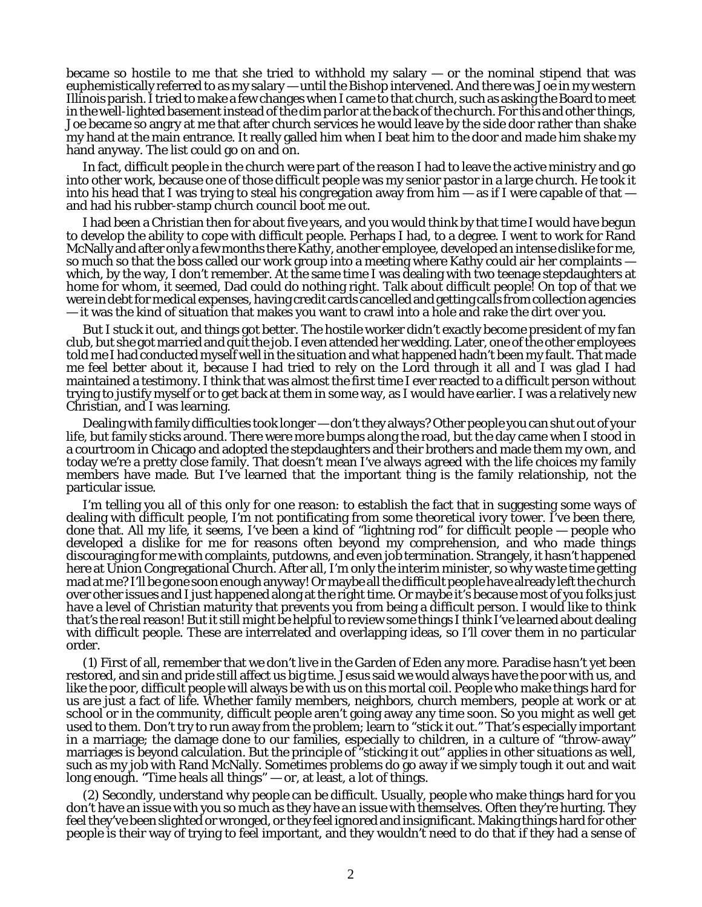became so hostile to me that she tried to withhold my salary — or the nominal stipend that was euphemistically referred to as my salary — until the Bishop intervened. And there was Joe in my western Illinois parish. I tried to make a few changes when I came to that church, such as asking the Board to meet in the well-lighted basement instead of the dim parlor at the back of the church. For this and other things, Joe became so angry at me that after church services he would leave by the side door rather than shake my hand at the main entrance. It really galled him when I beat him to the door and made him shake my hand anyway. The list could go on and on.

In fact, difficult people in the church were part of the reason I had to leave the active ministry and go into other work, because one of those difficult people was my senior pastor in a large church. He took it into his head that I was trying to steal his congregation away from him  $-$  as if I were capable of that  $$ and had his rubber-stamp church council boot me out.

I had been a Christian then for about five years, and you would think by that time I would have begun to develop the ability to cope with difficult people. Perhaps I had, to a degree. I went to work for Rand McNally and after only a few months there Kathy, another employee, developed an intense dislike for me, so much so that the boss called our work group into a meeting where Kathy could air her complaints which, by the way, I don't remember. At the same time I was dealing with two teenage stepdaughters at home for whom, it seemed, Dad could do nothing right. Talk about difficult people! On top of that we were in debt for medical expenses, having credit cards cancelled and getting calls from collection agencies — it was the kind of situation that makes you want to crawl into a hole and rake the dirt over you.

But I stuck it out, and things got better. The hostile worker didn't exactly become president of my fan club, but she got married and quit the job. I even attended her wedding. Later, one of the other employees told me I had conducted myself well in the situation and what happened hadn't been my fault. That made me feel better about it, because I had tried to rely on the Lord through it all and I was glad I had maintained a testimony. I think that was almost the first time I ever reacted to a difficult person without trying to justify myself or to get back at them in some way, as I would have earlier. I was a relatively new Christian, and I was learning.

Dealing with family difficulties took longer — don't they always? Other people you can shut out of your life, but family sticks around. There were more bumps along the road, but the day came when I stood in a courtroom in Chicago and adopted the stepdaughters and their brothers and made them my own, and today we're a pretty close family. That doesn't mean I've always agreed with the life choices my family members have made. But I've learned that the important thing is the family relationship, not the particular issue.

I'm telling you all of this only for one reason: to establish the fact that in suggesting some ways of dealing with difficult people, I'm not pontificating from some theoretical ivory tower. I've been there, done that. All my life, it seems, I've been a kind of "lightning rod" for difficult people — people who developed a dislike for me for reasons often beyond my comprehension, and who made things discouraging for me with complaints, putdowns, and even job termination. Strangely, it hasn't happened here at Union Congregational Church. After all, I'm only the interim minister, so why waste time getting mad at me? I'll be gone soon enough anyway! Or maybe all the difficult people have already left the church over other issues and I just happened along at the right time. Or maybe it's because most of you folks just have a level of Christian maturity that prevents you from being a difficult person. I would like to think *that's* the real reason! But it still might be helpful to review some things I think I've learned about dealing with difficult people. These are interrelated and overlapping ideas, so I'll cover them in no particular order.

(1) First of all, remember that we don't live in the Garden of Eden any more. Paradise hasn't yet been restored, and sin and pride still affect us big time. Jesus said we would always have the poor with us, and like the poor, difficult people will always be with us on this mortal coil. People who make things hard for us are just a fact of life. Whether family members, neighbors, church members, people at work or at school or in the community, difficult people aren't going away any time soon. So you might as well get used to them. Don't try to run away from the problem; learn to "stick it out." That's especially important in a marriage; the damage done to our families, especially to children, in a culture of "throw-away" marriages is beyond calculation. But the principle of "sticking it out" applies in other situations as well, such as my job with Rand McNally. Sometimes problems do go away if we simply tough it out and wait long enough. "Time heals all things" — or, at least, a lot of things.

(2) Secondly, understand why people can be difficult. Usually, people who make things hard for you don't have an issue with you so much as they have *an issue with themselves*. Often they're hurting. They feel they've been slighted or wronged, or they feel ignored and insignificant. Making things hard for other people is their way of trying to feel important, and they wouldn't need to do that if they had a sense of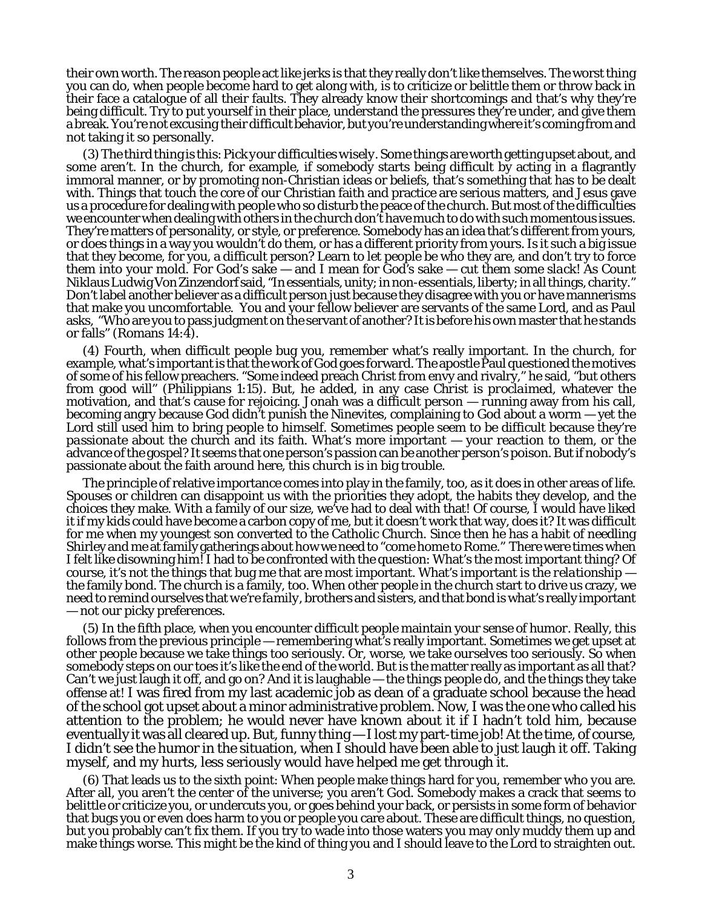their own worth. The reason people act like jerks is that they really don't like themselves. The worst thing you can do, when people become hard to get along with, is to criticize or belittle them or throw back in their face a catalogue of all their faults. They already know their shortcomings and that's why they're being difficult. Try to put yourself in their place, understand the pressures they're under, and give them a break. You're not *excusing* their difficult behavior, but you're understanding where it's coming from and not taking it so personally.

(3) The third thing is this: *Pick your difficulties wisely.* Some things are worth getting upset about, and some aren't. In the church, for example, if somebody starts being difficult by acting in a flagrantly immoral manner, or by promoting non-Christian ideas or beliefs, that's something that has to be dealt with. Things that touch the core of our Christian faith and practice are serious matters, and Jesus gave us a procedure for dealing with people who so disturb the peace of the church. But most of the difficulties we encounter when dealing with others in the church don't have much to do with such momentous issues. They're matters of personality, or style, or preference. Somebody has an idea that's different from yours, or does things in a way you wouldn't do them, or has a different priority from yours. Is it such a big issue that they become, for you, a difficult person? Learn to let people be who they are, and don't try to force them into your mold. For God's sake — and I mean for *God's* sake — *cut them some slack!* As Count Niklaus Ludwig Von Zinzendorf said, "In essentials, unity; in non-essentials, liberty; in all things, charity." Don't label another believer as a difficult person just because they disagree with you or have mannerisms that make you uncomfortable. You and your fellow believer are servants of the same Lord, and as Paul asks, "Who are you to pass judgment on the servant of another? It is before his own master that he stands or falls" (Romans  $14:\hat{4}$ ).

(4) Fourth, when difficult people bug you, remember what's really important. In the church, for example, what's important is that the work of God goes forward. The apostle Paul questioned the motives of some of his fellow preachers. "Some indeed preach Christ from envy and rivalry," he said, "but others from good will" (Philippians 1:15). But, he added, in any case *Christ is proclaimed*, whatever the motivation, and that's cause for rejoicing. Jonah was a difficult person — running away from his call, becoming angry because God didn't punish the Ninevites, complaining to God about a worm — yet the Lord still used him to bring people to himself. Sometimes people seem to be difficult because they're *passionate* about the church and its faith. What's more important — your reaction to them, or the advance of the gospel? It seems that one person's passion can be another person's poison. But if nobody's passionate about the faith around here, this church is in big trouble.

The principle of relative importance comes into play in the family, too, as it does in other areas of life. Spouses or children can disappoint us with the priorities they adopt, the habits they develop, and the choices they make. With a family of our size, we've had to deal with that! Of course, I would have liked it if my kids could have become a carbon copy of me, but it doesn't work that way, does it? It was difficult for me when my youngest son converted to the Catholic Church. Since then he has a habit of needling Shirley and me at family gatherings about how we need to "come home to Rome." There were times when I felt like disowning him! I had to be confronted with the question: What's the most important thing? Of course, it's not the things that bug me that are most important. What's important is the *relationship* the family bond. The church is a family, too. When other people in the church start to drive us crazy, we need to remind ourselves that *we're family*, brothers and sisters, and that bond is what's really important — not our picky preferences.

(5) In the fifth place, when you encounter difficult people maintain your *sense of humor.* Really, this follows from the previous principle — remembering what's really important. Sometimes we get upset at other people because we take things too seriously. Or, worse, we take *ourselves* too seriously. So when somebody steps on our toes it's like the end of the world. But is the matter really as important as all that? Can't we just laugh it off, and go on? And it is laughable — the things people do, and the things they take offense at! I was fired from my last academic job as dean of a graduate school because the head of the school got upset about a minor administrative problem. Now, I was the one who called his attention to the problem; he would never have known about it if I hadn't told him, because eventually it was all cleared up. But, funny thing — I lost my part-time job! At the time, of course, I didn't see the humor in the situation, when I should have been able to just laugh it off. Taking myself, and my hurts, less seriously would have helped me get through it.

(6) That leads us to the sixth point: When people make things hard for you, remember who *you* are. After all, you aren't the center of the universe; you aren't God. Somebody makes a crack that seems to belittle or criticize you, or undercuts you, or goes behind your back, or persists in some form of behavior that bugs you or even does harm to you or people you care about. These are difficult things, no question, but *you* probably can't fix them. If you try to wade into those waters you may only muddy them up and make things worse. This might be the kind of thing you and I should leave to the Lord to straighten out.